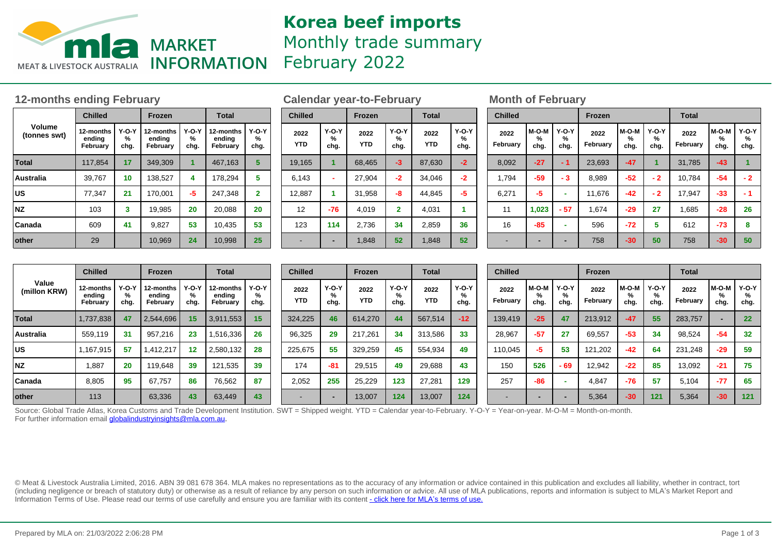

# **Korea beef imports** Monthly trade summary February 2022

### **12-months ending February Calendar year-to-February Month of February**

|                        | <b>Chilled</b>                  |                      | <b>Frozen</b>                   |                      | <b>Total</b>                    |                      |  |  |  |
|------------------------|---------------------------------|----------------------|---------------------------------|----------------------|---------------------------------|----------------------|--|--|--|
| Volume<br>(tonnes swt) | 12-months<br>ending<br>February | $Y-O-Y$<br>℅<br>chg. | 12-months<br>ending<br>February | $Y-O-Y$<br>℅<br>chg. | 12-months<br>ending<br>February | $Y-O-Y$<br>%<br>chg. |  |  |  |
| <b>Total</b>           | 117,854                         | 17                   | 349.309                         | 1                    | 467,163                         | 5                    |  |  |  |
| Australia              | 39,767                          | 10                   | 138.527                         | 4                    | 178.294                         | 5                    |  |  |  |
| <b>US</b>              | 77.347                          | 21                   | 170,001                         | -5                   | 247,348                         | $\mathbf{2}$         |  |  |  |
| <b>NZ</b>              | 103                             | 3                    | 19,985                          | 20                   | 20.088                          | 20                   |  |  |  |
| Canada                 | 609                             | 41                   | 9,827                           | 53                   | 10,435                          | 53                   |  |  |  |
| other                  | 29                              |                      | 10,969                          | 24                   | 10,998                          | 25                   |  |  |  |

| <b>Chilled</b>     |                           | <b>Frozen</b>      |                         | <b>Total</b>       |                    |  |  |  |  |
|--------------------|---------------------------|--------------------|-------------------------|--------------------|--------------------|--|--|--|--|
| 2022<br><b>YTD</b> | <b>Y-O-Y</b><br>℅<br>chg. | 2022<br><b>YTD</b> | $Y-O-Y$<br>℅<br>chg.    | 2022<br><b>YTD</b> | Y-O-Y<br>%<br>chg. |  |  |  |  |
| 19,165             |                           | 68,465             | -3                      | 87,630             | $-2$               |  |  |  |  |
| 6,143              |                           | 27,904             | $-2$                    | 34.046             | $-2$               |  |  |  |  |
| 12,887             | 1                         | 31,958             | -8                      | 44,845             | $-5$               |  |  |  |  |
| 12                 | $-76$                     | 4.019              | $\overline{\mathbf{2}}$ | 4.031              | 1                  |  |  |  |  |
| 123                | 114                       | 2,736              | 34                      | 2,859              | 36                 |  |  |  |  |
|                    |                           | 1,848              | 52                      | 1.848              | 52                 |  |  |  |  |

| <b>Chilled</b>   |                    |                           | <b>Frozen</b>    |                    |                      | <b>Total</b>     |                      |                      |  |  |  |  |
|------------------|--------------------|---------------------------|------------------|--------------------|----------------------|------------------|----------------------|----------------------|--|--|--|--|
| 2022<br>February | M-O-M<br>℅<br>chg. | <b>Y-O-Y</b><br>℅<br>chg. | 2022<br>February | M-O-M<br>℅<br>chg. | $Y-O-Y$<br>℅<br>chg. | 2022<br>February | $M-O-M$<br>%<br>chg. | $Y-O-Y$<br>℅<br>chg. |  |  |  |  |
| 8,092            | $-27$              | - 1                       | 23,693           | $-47$              | 1                    | 31,785           | $-43$                | 1                    |  |  |  |  |
| 1,794            | $-59$              | - 3                       | 8,989            | $-52$              | $-2$                 | 10,784           | $-54$                | $-2$                 |  |  |  |  |
| 6,271            | -5                 | ۰                         | 11,676           | $-42$              | $-2$                 | 17,947           | $-33$                | - 1                  |  |  |  |  |
| 11               | 1,023              | $-57$                     | 1,674            | $-29$              | 27                   | 1,685            | $-28$                | 26                   |  |  |  |  |
| 16               | $-85$              |                           | 596              | -72                | 5                    | 612              | $-73$                | 8                    |  |  |  |  |
|                  |                    |                           | 758              | $-30$              | 50                   | 758              | $-30$                | 50                   |  |  |  |  |

|                       | <b>Chilled</b>                  |                      | Frozen                          |                   | <b>Total</b>                    |                      | <b>Chilled</b> |                    | Frozen             |                    | <b>Total</b>              |                    | <b>Chilled</b>  |                  |               | Frozen                     |                  |                       | <b>Total</b>         |                  |               |                 |
|-----------------------|---------------------------------|----------------------|---------------------------------|-------------------|---------------------------------|----------------------|----------------|--------------------|--------------------|--------------------|---------------------------|--------------------|-----------------|------------------|---------------|----------------------------|------------------|-----------------------|----------------------|------------------|---------------|-----------------|
| Value<br>(millon KRW) | 12-months<br>endina<br>February | <b>Y-O-Y</b><br>cha. | 12-months<br>ending<br>Februarv | $Y-O-Y$<br>chg.   | 12-months<br>ending<br>February | <b>Y-O-Y</b><br>chg. |                | 2022<br><b>YTD</b> | Y-O-Y<br>%<br>chg. | 2022<br><b>YTD</b> | <b>Y-O-Y</b><br>%<br>chg. | 2022<br><b>YTD</b> | $Y-O-Y$<br>chg. | 2022<br>February | M-O-M<br>chg. | <b>Y-O-Y</b><br>7٥<br>chg. | 2022<br>February | $M-O-M$<br>⁄о<br>chg. | $Y-O-Y$<br>%<br>chg. | 2022<br>Februarv | M-O-M<br>chg. | $Y-O-Y$<br>chg. |
| <b>Total</b>          | 1,737,838                       | 47                   | 2,544,696                       | 15                | 3,911,553                       | 15                   | 324.225        |                    | 46                 | 614.270            | 44                        | 567,514            | $-12$           | 139.419          | $-25$         | 47                         | 213,912          | $-47$                 | 55                   | 283,757          |               | 22              |
| <b>Australia</b>      | 559.119                         | 31                   | 957,216                         | 23                | 1,516,336                       | 26                   |                | 96,325             | 29                 | 217,261            | 34                        | 313,586            | 33              | 28,967           | -57           | 27                         | 69,557           | $-53$                 | 34                   | 98,524           | $-54$         | 32              |
| <b>US</b>             | 167,915                         | 57                   | 1,412,217                       | $12 \overline{ }$ | 2,580,132                       | 28                   | 225.675        |                    | 55                 | 329.259            | 45                        | 554,934            | 49              | 110.045          |               | 53                         | 121.202          | $-42$                 | 64                   | 231.248          | $-29$         | 59              |
| <b>NZ</b>             | .887                            | 20                   | 119,648                         | 39                | 121.535                         | 39                   |                | 174                | $-81$              | 29,515             | 49                        | 29,688             | 43              | 150              | 526           | - 69                       | 12,942           | $-22$                 | 85                   | 13,092           | $-21$         | 75              |
| <b>Canada</b>         | 8,805                           | 95                   | 67,757                          | 86                | 76,562                          | 87                   |                | 2,052              | 255                | 25,229             | 123                       | 27,281             | 129             | 257              | -86           |                            | 4.847            | $-76$                 | 57                   | 5,104            | $-77$         | 65              |
| other                 | 113                             |                      | 63,336                          | 43                | 63,449                          | 43                   |                |                    |                    | 13,007             | 124                       | 13,007             | 124             |                  |               |                            | 5,364            | $-30$                 | 121                  | 5,364            | $-30$         | 121             |

Source: Global Trade Atlas, Korea Customs and Trade Development Institution. SWT = Shipped weight. YTD = Calendar year-to-February. Y-O-Y = Year-on-year. M-O-M = Month-on-month. For further information email **globalindustryinsights@mla.com.au.** 

© Meat & Livestock Australia Limited, 2016. ABN 39 081 678 364. MLA makes no representations as to the accuracy of any information or advice contained in this publication and excludes all liability, whether in contract, tort (including negligence or breach of statutory duty) or otherwise as a result of reliance by any person on such information or advice. All use of MLA publications, reports and information is subject to MLA's Market Report an Information Terms of Use. Please read our terms of use carefully and ensure you are familiar with its content [- click here for MLA](http://www.mla.com.au/files/edae0364-a185-4a6f-9dff-a42700d1463a/MLA-Market-Report-and-Information-Terms-of-use-Dec-2014.pdf)'[s terms of use.](http://www.mla.com.au/files/edae0364-a185-4a6f-9dff-a42700d1463a/MLA-Market-Report-and-Information-Terms-of-use-Dec-2014.pdf)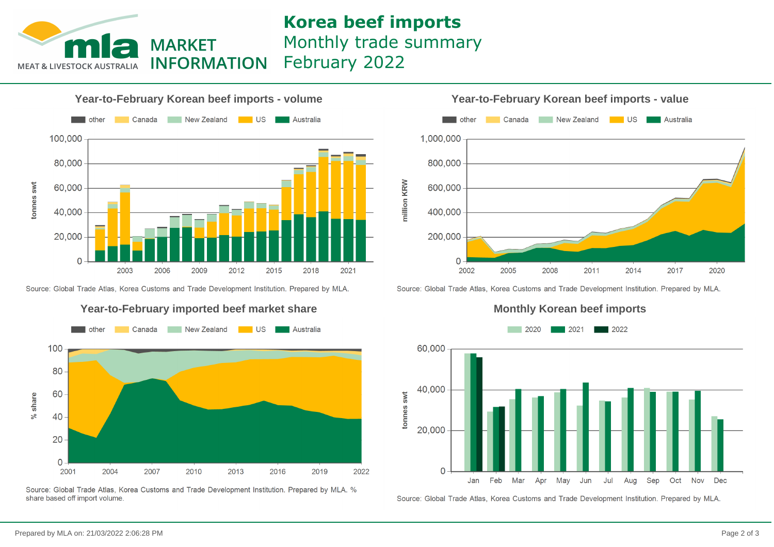

## **Korea beef imports** Monthly trade summary February 2022



Source: Global Trade Atlas, Korea Customs and Trade Development Institution. Prepared by MLA.



Source: Global Trade Atlas, Korea Customs and Trade Development Institution. Prepared by MLA, % share based off import volume.

**Year-to-February Korean beef imports - value**



Source: Global Trade Atlas, Korea Customs and Trade Development Institution. Prepared by MLA.

#### **Monthly Korean beef imports**



Source: Global Trade Atlas, Korea Customs and Trade Development Institution. Prepared by MLA.